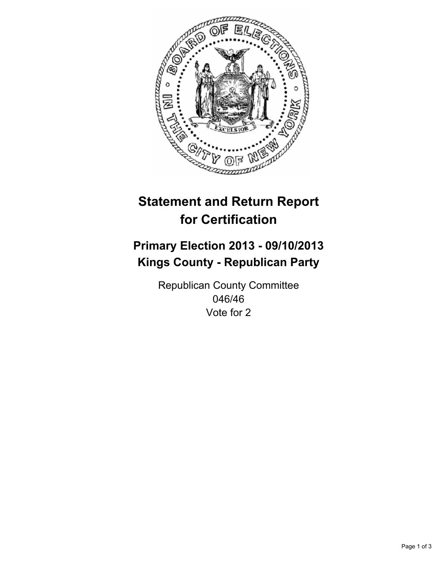

# **Statement and Return Report for Certification**

# **Primary Election 2013 - 09/10/2013 Kings County - Republican Party**

Republican County Committee 046/46 Vote for 2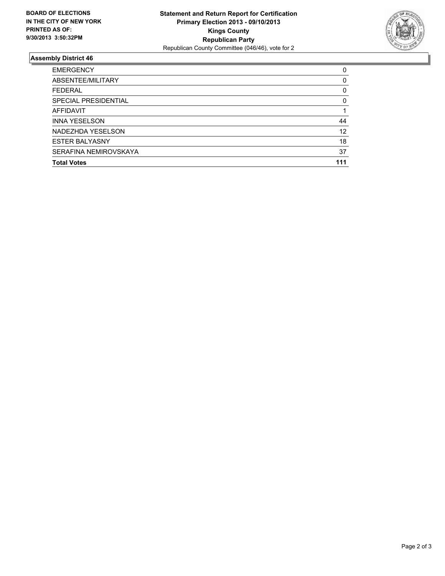

## **Assembly District 46**

| <b>EMERGENCY</b>      | 0        |
|-----------------------|----------|
| ABSENTEE/MILITARY     | $\Omega$ |
| <b>FEDERAL</b>        | 0        |
| SPECIAL PRESIDENTIAL  | 0        |
| AFFIDAVIT             |          |
| <b>INNA YESELSON</b>  | 44       |
| NADEZHDA YESELSON     | 12       |
| <b>ESTER BALYASNY</b> | 18       |
| SERAFINA NEMIROVSKAYA | 37       |
| <b>Total Votes</b>    | 111      |